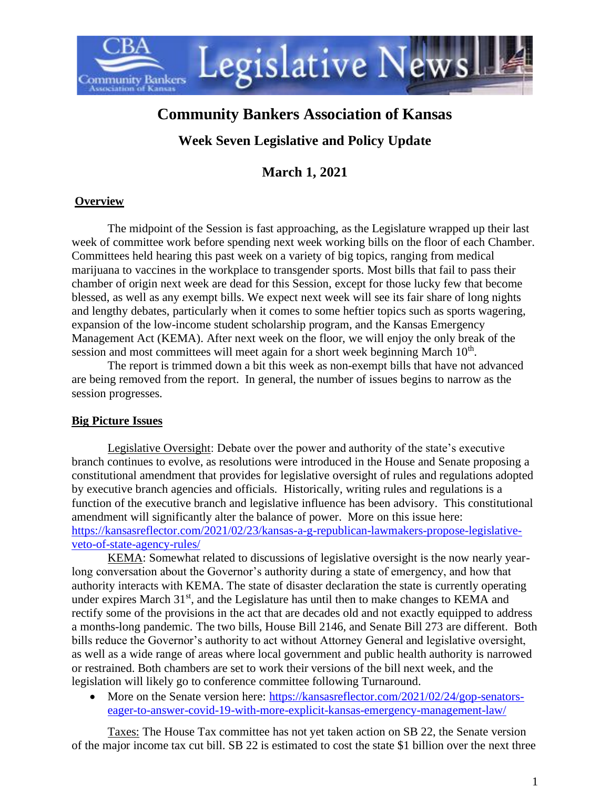

# **Community Bankers Association of Kansas**

## **Week Seven Legislative and Policy Update**

**March 1, 2021**

## **Overview**

The midpoint of the Session is fast approaching, as the Legislature wrapped up their last week of committee work before spending next week working bills on the floor of each Chamber. Committees held hearing this past week on a variety of big topics, ranging from medical marijuana to vaccines in the workplace to transgender sports. Most bills that fail to pass their chamber of origin next week are dead for this Session, except for those lucky few that become blessed, as well as any exempt bills. We expect next week will see its fair share of long nights and lengthy debates, particularly when it comes to some heftier topics such as sports wagering, expansion of the low-income student scholarship program, and the Kansas Emergency Management Act (KEMA). After next week on the floor, we will enjoy the only break of the session and most committees will meet again for a short week beginning March 10<sup>th</sup>.

The report is trimmed down a bit this week as non-exempt bills that have not advanced are being removed from the report. In general, the number of issues begins to narrow as the session progresses.

## **Big Picture Issues**

Legislative Oversight: Debate over the power and authority of the state's executive branch continues to evolve, as resolutions were introduced in the House and Senate proposing a constitutional amendment that provides for legislative oversight of rules and regulations adopted by executive branch agencies and officials. Historically, writing rules and regulations is a function of the executive branch and legislative influence has been advisory. This constitutional amendment will significantly alter the balance of power. More on this issue here: [https://kansasreflector.com/2021/02/23/kansas-a-g-republican-lawmakers-propose-legislative](https://kansasreflector.com/2021/02/23/kansas-a-g-republican-lawmakers-propose-legislative-veto-of-state-agency-rules/)[veto-of-state-agency-rules/](https://kansasreflector.com/2021/02/23/kansas-a-g-republican-lawmakers-propose-legislative-veto-of-state-agency-rules/)

KEMA: Somewhat related to discussions of legislative oversight is the now nearly yearlong conversation about the Governor's authority during a state of emergency, and how that authority interacts with KEMA. The state of disaster declaration the state is currently operating under expires March  $31<sup>st</sup>$ , and the Legislature has until then to make changes to KEMA and rectify some of the provisions in the act that are decades old and not exactly equipped to address a months-long pandemic. The two bills, House Bill 2146, and Senate Bill 273 are different. Both bills reduce the Governor's authority to act without Attorney General and legislative oversight, as well as a wide range of areas where local government and public health authority is narrowed or restrained. Both chambers are set to work their versions of the bill next week, and the legislation will likely go to conference committee following Turnaround.

• More on the Senate version here: [https://kansasreflector.com/2021/02/24/gop-senators](https://kansasreflector.com/2021/02/24/gop-senators-eager-to-answer-covid-19-with-more-explicit-kansas-emergency-management-law/)[eager-to-answer-covid-19-with-more-explicit-kansas-emergency-management-law/](https://kansasreflector.com/2021/02/24/gop-senators-eager-to-answer-covid-19-with-more-explicit-kansas-emergency-management-law/)

Taxes: The House Tax committee has not yet taken action on SB 22, the Senate version of the major income tax cut bill. SB 22 is estimated to cost the state \$1 billion over the next three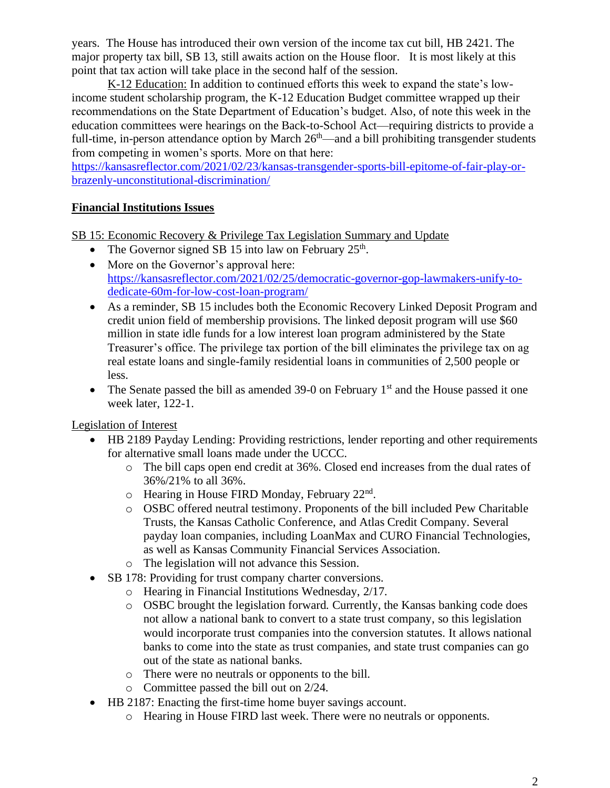years. The House has introduced their own version of the income tax cut bill, HB 2421. The major property tax bill, SB 13, still awaits action on the House floor. It is most likely at this point that tax action will take place in the second half of the session.

K-12 Education: In addition to continued efforts this week to expand the state's lowincome student scholarship program, the K-12 Education Budget committee wrapped up their recommendations on the State Department of Education's budget. Also, of note this week in the education committees were hearings on the Back-to-School Act—requiring districts to provide a full-time, in-person attendance option by March  $26<sup>th</sup>$ —and a bill prohibiting transgender students from competing in women's sports. More on that here:

[https://kansasreflector.com/2021/02/23/kansas-transgender-sports-bill-epitome-of-fair-play-or](https://kansasreflector.com/2021/02/23/kansas-transgender-sports-bill-epitome-of-fair-play-or-brazenly-unconstitutional-discrimination/)[brazenly-unconstitutional-discrimination/](https://kansasreflector.com/2021/02/23/kansas-transgender-sports-bill-epitome-of-fair-play-or-brazenly-unconstitutional-discrimination/)

## **Financial Institutions Issues**

SB 15: Economic Recovery & Privilege Tax Legislation Summary and Update

- The Governor signed SB 15 into law on February  $25<sup>th</sup>$ .
- More on the Governor's approval here: [https://kansasreflector.com/2021/02/25/democratic-governor-gop-lawmakers-unify-to](https://kansasreflector.com/2021/02/25/democratic-governor-gop-lawmakers-unify-to-dedicate-60m-for-low-cost-loan-program/)[dedicate-60m-for-low-cost-loan-program/](https://kansasreflector.com/2021/02/25/democratic-governor-gop-lawmakers-unify-to-dedicate-60m-for-low-cost-loan-program/)
- As a reminder, SB 15 includes both the Economic Recovery Linked Deposit Program and credit union field of membership provisions. The linked deposit program will use \$60 million in state idle funds for a low interest loan program administered by the State Treasurer's office. The privilege tax portion of the bill eliminates the privilege tax on ag real estate loans and single-family residential loans in communities of 2,500 people or less.
- The Senate passed the bill as amended 39-0 on February  $1<sup>st</sup>$  and the House passed it one week later, 122-1.

Legislation of Interest

- HB 2189 Payday Lending: Providing restrictions, lender reporting and other requirements for alternative small loans made under the UCCC.
	- o The bill caps open end credit at 36%. Closed end increases from the dual rates of 36%/21% to all 36%.
	- $\circ$  Hearing in House FIRD Monday, February 22<sup>nd</sup>.
	- o OSBC offered neutral testimony. Proponents of the bill included Pew Charitable Trusts, the Kansas Catholic Conference, and Atlas Credit Company. Several payday loan companies, including LoanMax and CURO Financial Technologies, as well as Kansas Community Financial Services Association.
	- o The legislation will not advance this Session.
- SB 178: Providing for trust company charter conversions.
	- o Hearing in Financial Institutions Wednesday, 2/17.
	- o OSBC brought the legislation forward. Currently, the Kansas banking code does not allow a national bank to convert to a state trust company, so this legislation would incorporate trust companies into the conversion statutes. It allows national banks to come into the state as trust companies, and state trust companies can go out of the state as national banks.
	- o There were no neutrals or opponents to the bill.
	- o Committee passed the bill out on 2/24.
- HB 2187: Enacting the first-time home buyer savings account.
	- o Hearing in House FIRD last week. There were no neutrals or opponents.